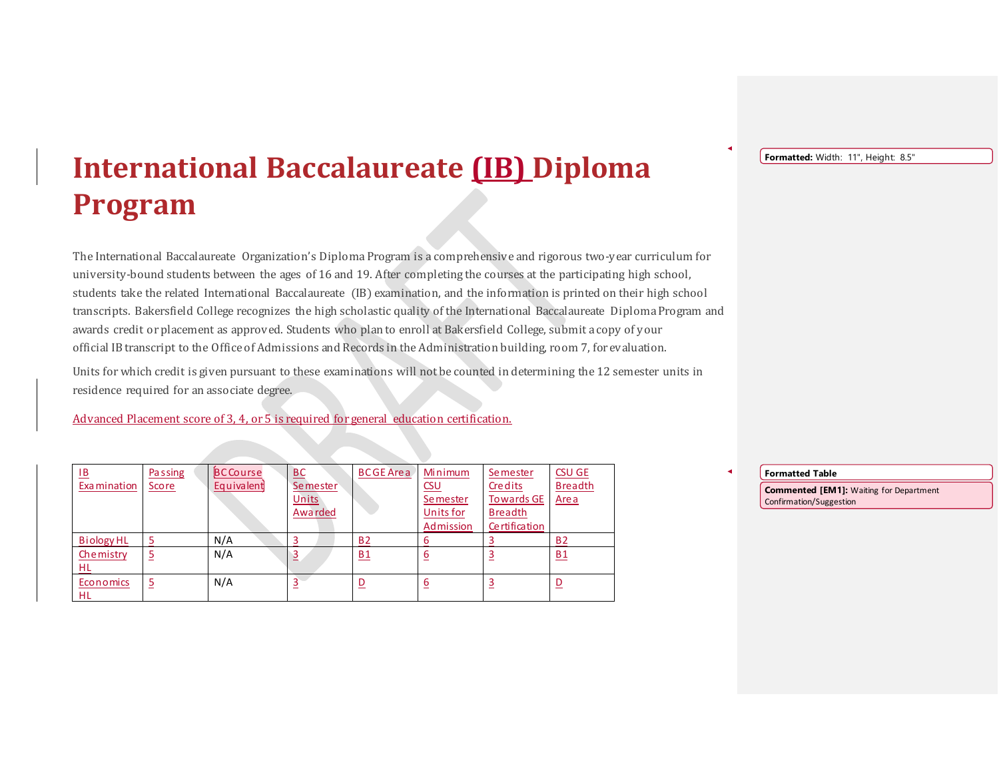## **International Baccalaureate (IB) Diploma Program**

The International Baccalaureate Organization's Diploma Program is a comprehensive and rigorous two-year curriculum for university-bound students between the ages of 16 and 19. After completing the courses at the participating high school, students take the related International Baccalaureate (IB) examination, and the information is printed on their high school transcripts. Bakersfield College recognizes the high scholastic quality of the International Baccalaureate Diploma Program and awards credit or placement as approved. Students who plan to enroll at Bakersfield College, submit a copy of your official IB transcript to the Office of Admissions and Records in the Administration building, room 7, for evaluation.

Units for which credit is given pursuant to these examinations will not be counted in determining the 12 semester units in residence required for an associate degree.

Advanced Placement score of 3, 4, or 5 is required for general education certification.

| <u>IB</u><br>Examination | <b>Passing</b><br><b>Score</b> | <b>BCCourse</b><br>Equivalent | <b>BC</b><br><b>Semester</b> | <b>BCGE Area</b> | Minimum<br>CSU                            | <b>Semester</b><br>Credits                           | <b>CSU GE</b><br><b>Breadth</b> |
|--------------------------|--------------------------------|-------------------------------|------------------------------|------------------|-------------------------------------------|------------------------------------------------------|---------------------------------|
|                          |                                |                               | Units<br>Awarded             |                  | <b>Semester</b><br>Units for<br>Admission | <b>Towards GE</b><br><b>Breadth</b><br>Certification | Area                            |
| Biology HL               |                                | N/A                           |                              | <b>B2</b>        | 6                                         |                                                      | <b>B2</b>                       |
| Chemistry<br>HL          |                                | N/A                           | $\overline{3}$               | B1               | 6                                         |                                                      | B1                              |
| Economics<br><b>HL</b>   |                                | N/A                           |                              |                  | 6                                         |                                                      | $\overline{\mathsf{D}}$         |

Formatted: Width: 11", Height: 8.5"

**Formatted Table**

**Commented [EM1]:** Waiting for Department Confirmation/Suggestion